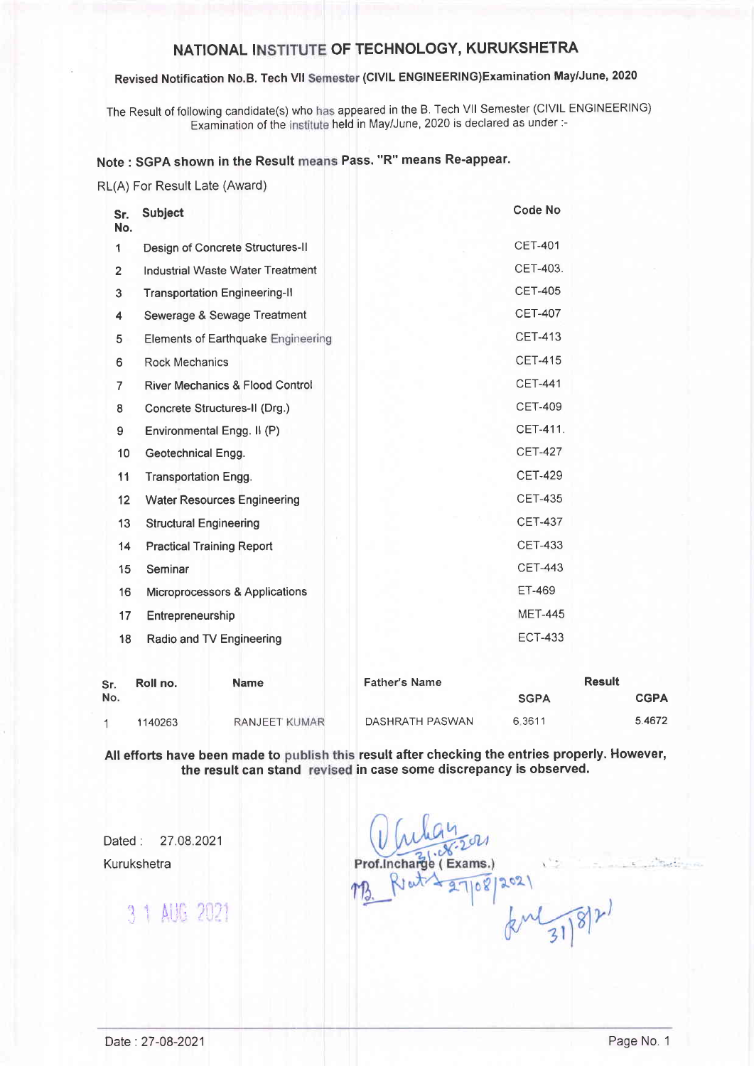# NATIONAL INSTITUTE OF TECHNOLOGY, KURUKSHETRA

## Revised Notification No.B. Tech VII Semester (CIVIL ENGINEERING)Examination May/June, 2020

The Result of following candidate(s) who has appeared in the B. Tech VII Semester (CIVIL ENGINEERING) Examination of the institute held in May/June, 2020 is declared as under :-

### Note : SGPA shown in the Result means Pass. "R" means Re-appear

RL(A) For Result Late (Award)

| Sr.<br>No.     | <b>Subject</b>                             | <b>Code No</b> |
|----------------|--------------------------------------------|----------------|
| 1              | Design of Concrete Structures-II           | <b>CET-401</b> |
| $\overline{2}$ | <b>Industrial Waste Water Treatment</b>    | CET-403.       |
| 3              | <b>Transportation Engineering-II</b>       | <b>CET-405</b> |
| 4              | Sewerage & Sewage Treatment                | <b>CET-407</b> |
| 5              | <b>Elements of Earthquake Engineering</b>  | <b>CET-413</b> |
| 6              | <b>Rock Mechanics</b>                      | <b>CET-415</b> |
| 7              | <b>River Mechanics &amp; Flood Control</b> | <b>CET-441</b> |
| 8              | Concrete Structures-II (Drg.)              | <b>CET-409</b> |
| 9              | Environmental Engg. II (P)                 | CET-411.       |
| 10             | Geotechnical Engg.                         | <b>CET-427</b> |
| 11             | <b>Transportation Engg.</b>                | <b>CET-429</b> |
| 12             | <b>Water Resources Engineering</b>         | <b>CET-435</b> |
| 13             | <b>Structural Engineering</b>              | <b>CET-437</b> |
| 14             | <b>Practical Training Report</b>           | <b>CET-433</b> |
| 15             | Seminar                                    | <b>CET-443</b> |
| 16             | Microprocessors & Applications             | <b>ET-469</b>  |
| 17             | Entrepreneurship                           | <b>MET-445</b> |
| 18             | Radio and TV Engineering                   | <b>ECT-433</b> |
|                |                                            |                |

| Sr. | Roll no. | <b>Name</b>          | <b>Father's Name</b> | Result      |  |             |
|-----|----------|----------------------|----------------------|-------------|--|-------------|
| No. |          |                      |                      | <b>SGPA</b> |  | <b>CGPA</b> |
|     | 1140263  | <b>RANJEET KUMAR</b> | DASHRATH PASWAN      | 6.3611      |  | 5.4672      |

All efforts have been made to publish this result after checking the entries properly. However the result can stand revised in case some discrepancy is observed.

Dated: 27.08.2021 Kurukshetra

3 1 AUG 2021

 $e$  (Exams.)  $202$ 08  $km^2$ 

1'-